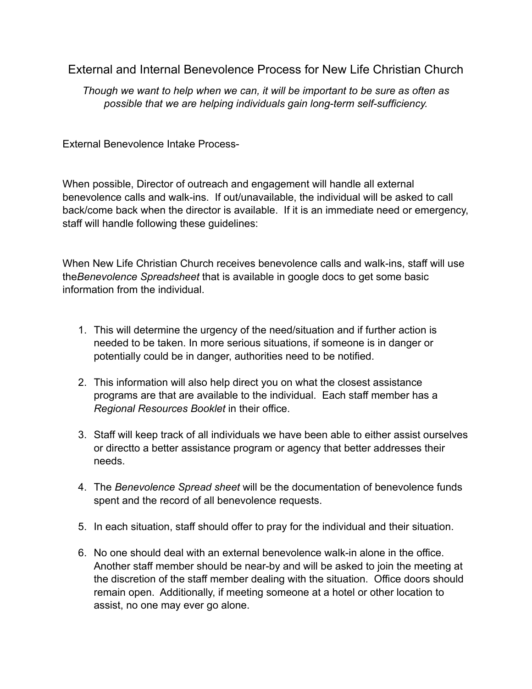External and Internal Benevolence Process for New Life Christian Church

*Though we want to help when we can, it will be important to be sure as often as possible that we are helping individuals gain long-term self-sufficiency.*

External Benevolence Intake Process-

When possible, Director of outreach and engagement will handle all external benevolence calls and walk-ins. If out/unavailable, the individual will be asked to call back/come back when the director is available. If it is an immediate need or emergency, staff will handle following these guidelines:

When New Life Christian Church receives benevolence calls and walk-ins, staff will use the*Benevolence Spreadsheet* that is available in google docs to get some basic information from the individual.

- 1. This will determine the urgency of the need/situation and if further action is needed to be taken. In more serious situations, if someone is in danger or potentially could be in danger, authorities need to be notified.
- 2. This information will also help direct you on what the closest assistance programs are that are available to the individual. Each staff member has a *Regional Resources Booklet* in their office.
- 3. Staff will keep track of all individuals we have been able to either assist ourselves or directto a better assistance program or agency that better addresses their needs.
- 4. The *Benevolence Spread sheet* will be the documentation of benevolence funds spent and the record of all benevolence requests.
- 5. In each situation, staff should offer to pray for the individual and their situation.
- 6. No one should deal with an external benevolence walk-in alone in the office. Another staff member should be near-by and will be asked to join the meeting at the discretion of the staff member dealing with the situation. Office doors should remain open. Additionally, if meeting someone at a hotel or other location to assist, no one may ever go alone.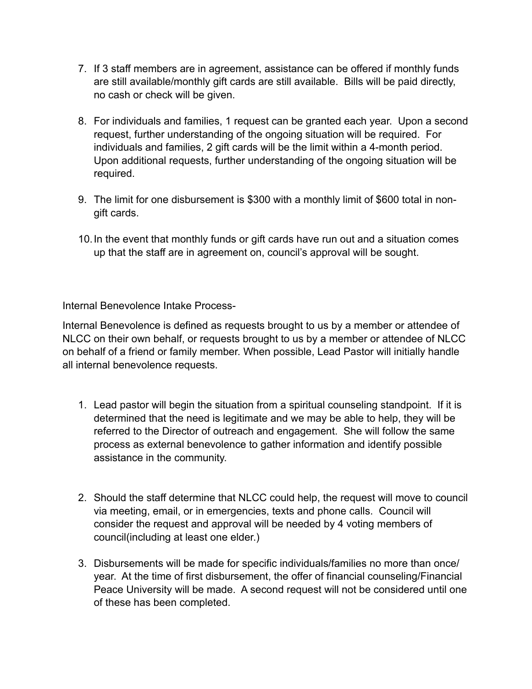- 7. If 3 staff members are in agreement, assistance can be offered if monthly funds are still available/monthly gift cards are still available. Bills will be paid directly, no cash or check will be given.
- 8. For individuals and families, 1 request can be granted each year. Upon a second request, further understanding of the ongoing situation will be required. For individuals and families, 2 gift cards will be the limit within a 4-month period. Upon additional requests, further understanding of the ongoing situation will be required.
- 9. The limit for one disbursement is \$300 with a monthly limit of \$600 total in nongift cards.
- 10.In the event that monthly funds or gift cards have run out and a situation comes up that the staff are in agreement on, council's approval will be sought.

Internal Benevolence Intake Process-

Internal Benevolence is defined as requests brought to us by a member or attendee of NLCC on their own behalf, or requests brought to us by a member or attendee of NLCC on behalf of a friend or family member. When possible, Lead Pastor will initially handle all internal benevolence requests.

- 1. Lead pastor will begin the situation from a spiritual counseling standpoint. If it is determined that the need is legitimate and we may be able to help, they will be referred to the Director of outreach and engagement. She will follow the same process as external benevolence to gather information and identify possible assistance in the community.
- 2. Should the staff determine that NLCC could help, the request will move to council via meeting, email, or in emergencies, texts and phone calls. Council will consider the request and approval will be needed by 4 voting members of council(including at least one elder.)
- 3. Disbursements will be made for specific individuals/families no more than once/ year. At the time of first disbursement, the offer of financial counseling/Financial Peace University will be made. A second request will not be considered until one of these has been completed.